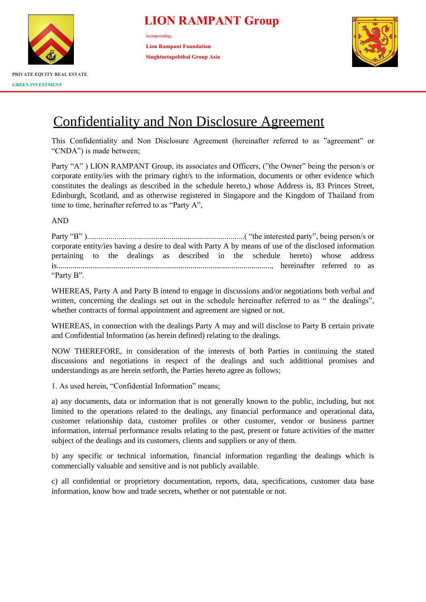

incorporating; **Lion Rampant Foundation Singhtoetapobthai Group Asia**



# Confidentiality and Non Disclosure Agreement

This Confidentiality and Non Disclosure Agreement (hereinafter referred to as "agreement" or "CNDA") is made between;

Party "A") LION RAMPANT Group, its associates and Officers, ("the Owner" being the person/s or corporate entity/ies with the primary right/s to the information, documents or other evidence which constitutes the dealings as described in the schedule hereto,) whose Address is, 83 Princes Street, Edinburgh, Scotland, and as otherwise registered in Singapore and the Kingdom of Thailand from time to time, herinafter referred to as "Party A",

AND

Party "B" )................................................................................( "the interested party", being person/s or corporate entity/ies having a desire to deal with Party A by means of use of the disclosed information pertaining to the dealings as described in the schedule hereto) whose address is............................................................................................................., hereinafter referred to as "Party B".

WHEREAS, Party A and Party B intend to engage in discussions and/or negotiations both verbal and written, concerning the dealings set out in the schedule hereinafter referred to as " the dealings", whether contracts of formal appointment and agreement are signed or not.

WHEREAS, in connection with the dealings Party A may and will disclose to Party B certain private and Confidential Information (as herein defined) relating to the dealings.

NOW THEREFORE, in consideration of the interests of both Parties in continuing the stated discussions and negotiations in respect of the dealings and such addittional promises and understandings as are herein setforth, the Parties hereto agree as follows;

1. As used herein, "Confidential Information" means;

a) any documents, data or information that is not generally known to the public, including, but not limited to the operations related to the dealings, any financial performance and operational data, customer relationship data, customer profiles or other customer, vendor or business partner information, internal performance results relating to the past, present or future activities of the matter subject of the dealings and its customers, clients and suppliers or any of them.

b) any specific or technical information, financial information regarding the dealings which is commercially valuable and sensitive and is not publicly available.

c) all confidential or proprietory documentation, reports, data, specifications, customer data base information, know how and trade secrets, whether or not patentable or not.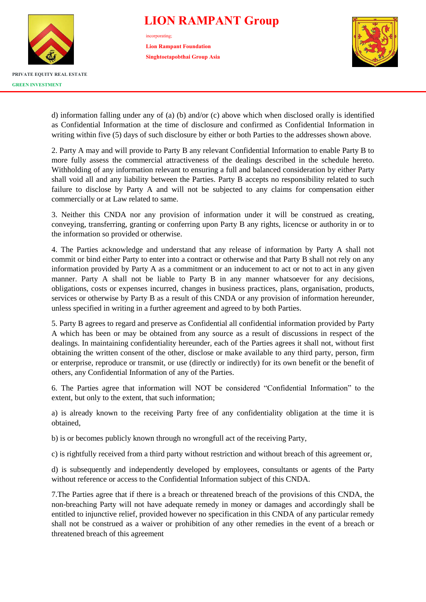

incorporating; **Lion Rampant Foundation Singhtoetapobthai Group Asia**



d) information falling under any of (a) (b) and/or (c) above which when disclosed orally is identified as Confidential Information at the time of disclosure and confirmed as Confidential Information in writing within five (5) days of such disclosure by either or both Parties to the addresses shown above.

2. Party A may and will provide to Party B any relevant Confidential Information to enable Party B to more fully assess the commercial attractiveness of the dealings described in the schedule hereto. Withholding of any information relevant to ensuring a full and balanced consideration by either Party shall void all and any liability between the Parties. Party B accepts no responsibility related to such failure to disclose by Party A and will not be subjected to any claims for compensation either commercially or at Law related to same.

3. Neither this CNDA nor any provision of information under it will be construed as creating, conveying, transferring, granting or conferring upon Party B any rights, licencse or authority in or to the information so provided or otherwise.

4. The Parties acknowledge and understand that any release of information by Party A shall not commit or bind either Party to enter into a contract or otherwise and that Party B shall not rely on any information provided by Party A as a commitment or an inducement to act or not to act in any given manner. Party A shall not be liable to Party B in any manner whatsoever for any decisions, obligations, costs or expenses incurred, changes in business practices, plans, organisation, products, services or otherwise by Party B as a result of this CNDA or any provision of information hereunder, unless specified in writing in a further agreement and agreed to by both Parties.

5. Party B agrees to regard and preserve as Confidential all confidential information provided by Party A which has been or may be obtained from any source as a result of discussions in respect of the dealings. In maintaining confidentiality hereunder, each of the Parties agrees it shall not, without first obtaining the written consent of the other, disclose or make available to any third party, person, firm or enterprise, reproduce or transmit, or use (directly or indirectly) for its own benefit or the benefit of others, any Confidential Information of any of the Parties.

6. The Parties agree that information will NOT be considered "Confidential Information" to the extent, but only to the extent, that such information;

a) is already known to the receiving Party free of any confidentiality obligation at the time it is obtained,

b) is or becomes publicly known through no wrongfull act of the receiving Party,

c) is rightfully received from a third party without restriction and without breach of this agreement or,

d) is subsequently and independently developed by employees, consultants or agents of the Party without reference or access to the Confidential Information subject of this CNDA.

7.The Parties agree that if there is a breach or threatened breach of the provisions of this CNDA, the non-breaching Party will not have adequate remedy in money or damages and accordingly shall be entitled to injunctive relief, provided however no specification in this CNDA of any particular remedy shall not be construed as a waiver or prohibition of any other remedies in the event of a breach or threatened breach of this agreement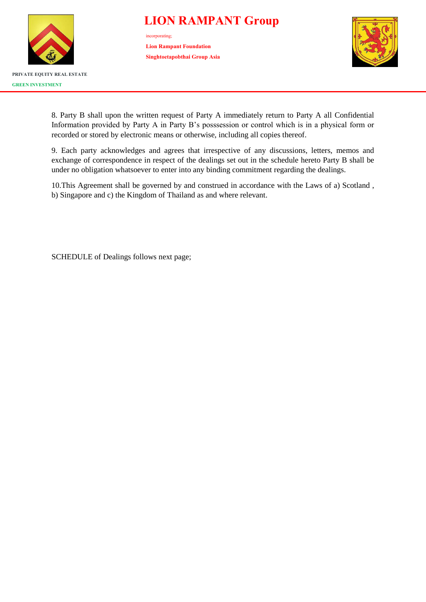

incorporating; **Lion Rampant Foundation Singhtoetapobthai Group Asia**



8. Party B shall upon the written request of Party A immediately return to Party A all Confidential Information provided by Party A in Party B's posssession or control which is in a physical form or recorded or stored by electronic means or otherwise, including all copies thereof.

9. Each party acknowledges and agrees that irrespective of any discussions, letters, memos and exchange of correspondence in respect of the dealings set out in the schedule hereto Party B shall be under no obligation whatsoever to enter into any binding commitment regarding the dealings.

10.This Agreement shall be governed by and construed in accordance with the Laws of a) Scotland , b) Singapore and c) the Kingdom of Thailand as and where relevant.

SCHEDULE of Dealings follows next page;